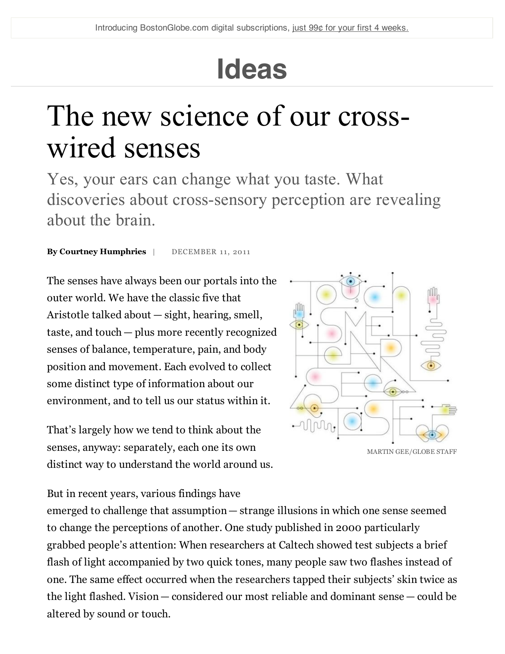## **Ideas**

## The new science of our crosswired senses

Yes, your ears can change what you taste. What discoveries about cross-sensory perception are revealing about the brain.

**By Courtney Humphries** | DECEMBER 11, 2011

The senses have always been our portals into the outer world. We have the classic five that Aristotle talked about — sight, hearing, smell, taste, and touch — plus more recently recognized senses of balance, temperature, pain, and body position and movement. Each evolved to collect some distinct type of information about our environment, and to tell us our status within it.

That's largely how we tend to think about the senses, anyway: separately, each one its own distinct way to understand the world around us.



But in recent years, various findings have

emerged to challenge that assumption— strange illusions in which one sense seemed to change the perceptions of another. One study published in 2000 particularly grabbed people's attention: When researchers at Caltech showed test subjects a brief flash of light accompanied by two quick tones, many people saw two flashes instead of one. The same effect occurred when the researchers tapped their subjects' skin twice as the light flashed. Vision— considered our most reliable and dominant sense — could be altered by sound or touch.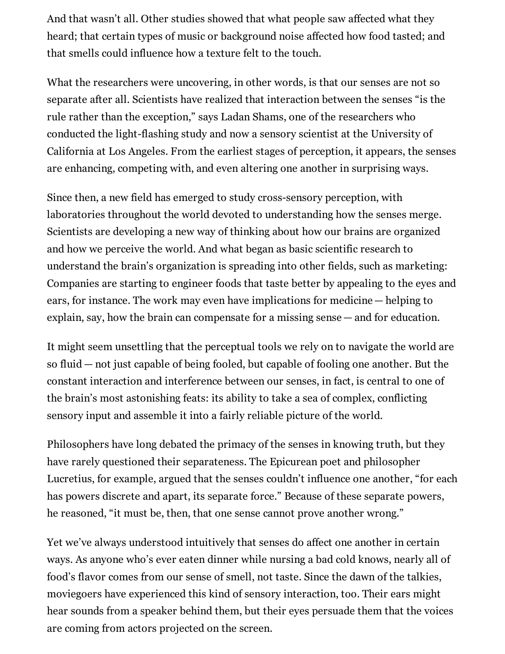And that wasn't all. Other studies showed that what people saw affected what they heard; that certain types of music or background noise affected how food tasted; and that smells could influence how a texture felt to the touch.

What the researchers were uncovering, in other words, is that our senses are not so separate after all. Scientists have realized that interaction between the senses "is the rule rather than the exception," says Ladan Shams, one of the researchers who conducted the light-flashing study and now a sensory scientist at the University of California at Los Angeles. From the earliest stages of perception, it appears, the senses are enhancing, competing with, and even altering one another in surprising ways.

Since then, a new field has emerged to study cross-sensory perception, with laboratories throughout the world devoted to understanding how the senses merge. Scientists are developing a new way of thinking about how our brains are organized and how we perceive the world. And what began as basic scientific research to understand the brain's organization is spreading into other fields, such as marketing: Companies are starting to engineer foods that taste better by appealing to the eyes and ears, for instance. The work may even have implications for medicine — helping to explain, say, how the brain can compensate for a missing sense — and for education.

It might seem unsettling that the perceptual tools we rely on to navigate the world are so fluid — not just capable of being fooled, but capable of fooling one another. But the constant interaction and interference between our senses, in fact, is central to one of the brain's most astonishing feats: its ability to take a sea of complex, conflicting sensory input and assemble it into a fairly reliable picture of the world.

Philosophers have long debated the primacy of the senses in knowing truth, but they have rarely questioned their separateness. The Epicurean poet and philosopher Lucretius, for example, argued that the senses couldn't influence one another, "for each has powers discrete and apart, its separate force." Because of these separate powers, he reasoned, "it must be, then, that one sense cannot prove another wrong."

Yet we've always understood intuitively that senses do affect one another in certain ways. As anyone who's ever eaten dinner while nursing a bad cold knows, nearly all of food's flavor comes from our sense of smell, not taste. Since the dawn of the talkies, moviegoers have experienced this kind of sensory interaction, too. Their ears might hear sounds from a speaker behind them, but their eyes persuade them that the voices are coming from actors projected on the screen.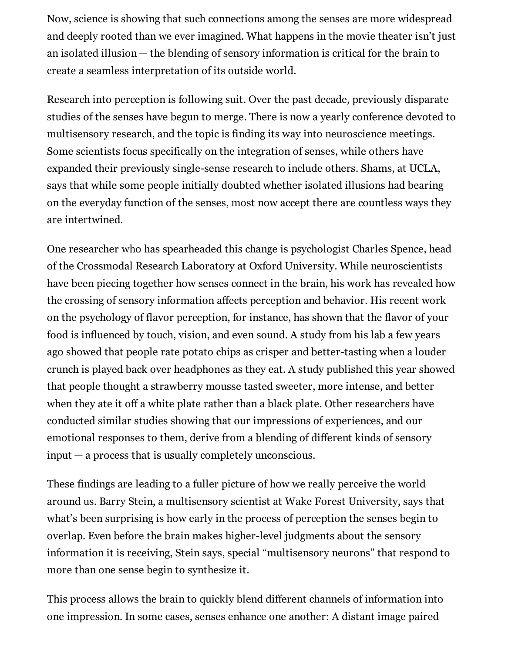Now, science is showing that such connections among the senses are more widespread and deeply rooted than we ever imagined. What happens in the movie theater isn't just an isolated illusion — the blending of sensory information is critical for the brain to create a seamless interpretation of its outside world.

Research into perception is following suit. Over the past decade, previously disparate studies of the senses have begun to merge. There is now a yearly conference devoted to multisensory research, and the topic is finding its way into neuroscience meetings. Some scientists focus specifically on the integration of senses, while others have expanded their previously single-sense research to include others. Shams, at UCLA, says that while some people initially doubted whether isolated illusions had bearing on the everyday function of the senses, most now accept there are countless ways they are intertwined.

One researcher who has spearheaded this change is psychologist Charles Spence, head of the Crossmodal Research Laboratory at Oxford University. While neuroscientists have been piecing together how senses connect in the brain, his work has revealed how the crossing of sensory information affects perception and behavior. His recent work on the psychology of flavor perception, for instance, has shown that the flavor of your food is influenced by touch, vision, and even sound. A study from his lab a few years ago showed that people rate potato chips as crisper and better-tasting when a louder crunch is played back over headphones as they eat. A study published this year showed that people thought a strawberry mousse tasted sweeter, more intense, and better when they ate it off a white plate rather than a black plate. Other researchers have conducted similar studies showing that our impressions of experiences, and our emotional responses to them, derive from a blending of different kinds of sensory input — a process that is usually completely unconscious.

These findings are leading to a fuller picture of how we really perceive the world around us. Barry Stein, a multisensory scientist at Wake Forest University, says that what's been surprising is how early in the process of perception the senses begin to overlap. Even before the brain makes higher-level judgments about the sensory information it is receiving, Stein says, special "multisensory neurons" that respond to more than one sense begin to synthesize it.

This process allows the brain to quickly blend different channels of information into one impression. In some cases, senses enhance one another: A distant image paired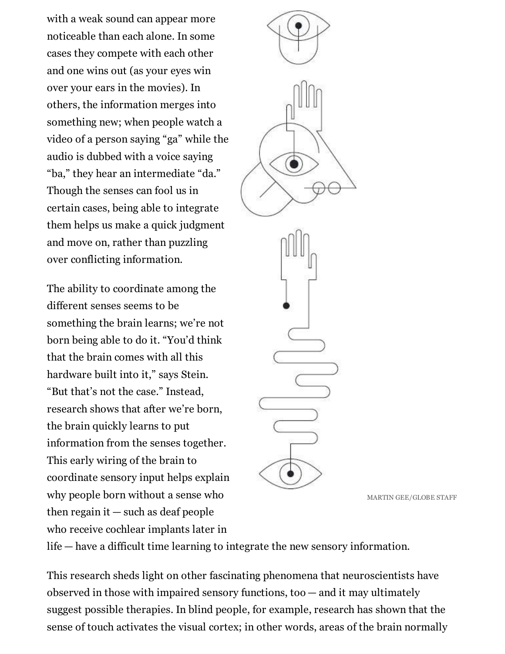with a weak sound can appear more noticeable than each alone. In some cases they compete with each other and one wins out (as your eyes win over your ears in the movies). In others, the information merges into something new; when people watch a video of a person saying "ga" while the audio is dubbed with a voice saying "ba," they hear an intermediate "da." Though the senses can fool us in certain cases, being able to integrate them helps us make a quick judgment and move on, rather than puzzling over conflicting information.

The ability to coordinate among the different senses seems to be something the brain learns; we're not born being able to do it. "You'd think that the brain comes with all this hardware built into it," says Stein. "But that's not the case." Instead, research shows that after we're born, the brain quickly learns to put information from the senses together. This early wiring of the brain to coordinate sensory input helps explain why people born without a sense who then regain it — such as deaf people who receive cochlear implants later in

MARTIN GEE/GLOBE STAFF

life — have a difficult time learning to integrate the new sensory information.

This research sheds light on other fascinating phenomena that neuroscientists have observed in those with impaired sensory functions, too — and it may ultimately suggest possible therapies. In blind people, for example, research has shown that the sense of touch activates the visual cortex; in other words, areas of the brain normally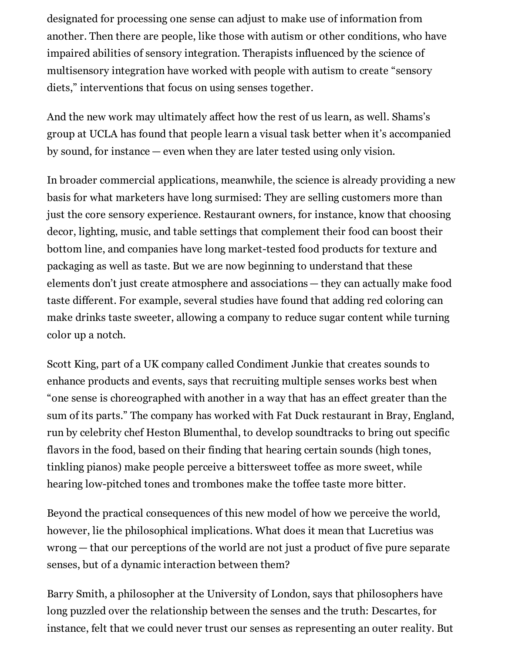designated for processing one sense can adjust to make use of information from another. Then there are people, like those with autism or other conditions, who have impaired abilities of sensory integration. Therapists influenced by the science of multisensory integration have worked with people with autism to create "sensory diets," interventions that focus on using senses together.

And the new work may ultimately affect how the rest of us learn, as well. Shams's group at UCLA has found that people learn a visual task better when it's accompanied by sound, for instance — even when they are later tested using only vision.

In broader commercial applications, meanwhile, the science is already providing a new basis for what marketers have long surmised: They are selling customers more than just the core sensory experience. Restaurant owners, for instance, know that choosing decor, lighting, music, and table settings that complement their food can boost their bottom line, and companies have long market-tested food products for texture and packaging as well as taste. But we are now beginning to understand that these elements don't just create atmosphere and associations — they can actually make food taste different. For example, several studies have found that adding red coloring can make drinks taste sweeter, allowing a company to reduce sugar content while turning color up a notch.

Scott King, part of a UK company called Condiment Junkie that creates sounds to enhance products and events, says that recruiting multiple senses works best when "one sense is choreographed with another in a way that has an effect greater than the sum of its parts." The company has worked with Fat Duck restaurant in Bray, England, run by celebrity chef Heston Blumenthal, to develop soundtracks to bring out specific flavors in the food, based on their finding that hearing certain sounds (high tones, tinkling pianos) make people perceive a bittersweet toffee as more sweet, while hearing low-pitched tones and trombones make the toffee taste more bitter.

Beyond the practical consequences of this new model of how we perceive the world, however, lie the philosophical implications. What does it mean that Lucretius was wrong — that our perceptions of the world are not just a product of five pure separate senses, but of a dynamic interaction between them?

Barry Smith, a philosopher at the University of London, says that philosophers have long puzzled over the relationship between the senses and the truth: Descartes, for instance, felt that we could never trust our senses as representing an outer reality. But